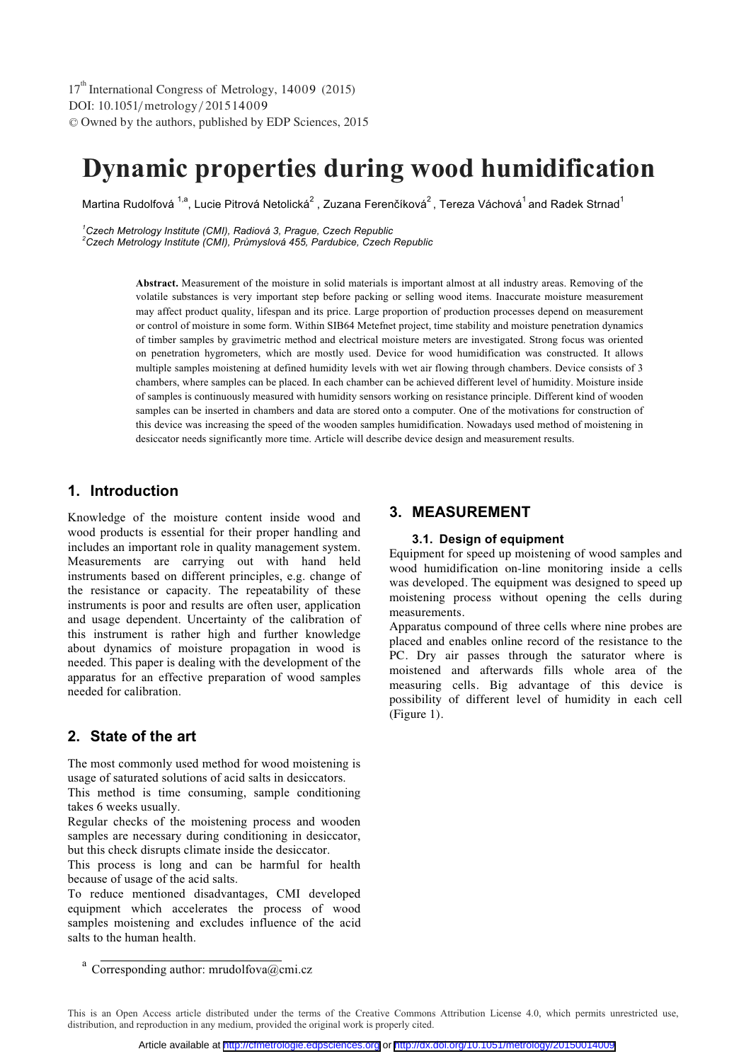DOI: 10.1051/ metrology/2015 1 400 9 -<sup>C</sup> Owned by the authors, published by EDP Sciences, 2015 17<sup>th</sup> International Congress of Metrology, 14009 (2015)

# **Dynamic properties during wood humidification**

Martina Rudolfová <sup>1,a</sup>, Lucie Pitrová Netolická $^2$  . Zuzana Ferenčíková $^2$ . Tereza Váchová $^1$ and Radek Strnad $^1$ 

*1 Czech Metrology Institute (CMI), Radiová 3, Prague, Czech Republic* 

*2 Czech Metrology Institute (CMI), Průmyslová 455, Pardubice, Czech Republic* 

**Abstract.** Measurement of the moisture in solid materials is important almost at all industry areas. Removing of the volatile substances is very important step before packing or selling wood items. Inaccurate moisture measurement may affect product quality, lifespan and its price. Large proportion of production processes depend on measurement or control of moisture in some form. Within SIB64 Metefnet project, time stability and moisture penetration dynamics of timber samples by gravimetric method and electrical moisture meters are investigated. Strong focus was oriented on penetration hygrometers, which are mostly used. Device for wood humidification was constructed. It allows multiple samples moistening at defined humidity levels with wet air flowing through chambers. Device consists of 3 chambers, where samples can be placed. In each chamber can be achieved different level of humidity. Moisture inside of samples is continuously measured with humidity sensors working on resistance principle. Different kind of wooden samples can be inserted in chambers and data are stored onto a computer. One of the motivations for construction of this device was increasing the speed of the wooden samples humidification. Nowadays used method of moistening in desiccator needs significantly more time. Article will describe device design and measurement results.

# **1. Introduction**

Knowledge of the moisture content inside wood and wood products is essential for their proper handling and includes an important role in quality management system. Measurements are carrying out with hand held instruments based on different principles, e.g. change of the resistance or capacity. The repeatability of these instruments is poor and results are often user, application and usage dependent. Uncertainty of the calibration of this instrument is rather high and further knowledge about dynamics of moisture propagation in wood is needed. This paper is dealing with the development of the apparatus for an effective preparation of wood samples needed for calibration.

## **2. State of the art**

The most commonly used method for wood moistening is usage of saturated solutions of acid salts in desiccators.

This method is time consuming, sample conditioning takes 6 weeks usually.

Regular checks of the moistening process and wooden samples are necessary during conditioning in desiccator, but this check disrupts climate inside the desiccator.

This process is long and can be harmful for health because of usage of the acid salts.

To reduce mentioned disadvantages, CMI developed equipment which accelerates the process of wood samples moistening and excludes influence of the acid salts to the human health.

## **3. MEASUREMENT**

#### **3.1. Design of equipment**

Equipment for speed up moistening of wood samples and wood humidification on-line monitoring inside a cells was developed. The equipment was designed to speed up moistening process without opening the cells during measurements.

Apparatus compound of three cells where nine probes are placed and enables online record of the resistance to the PC. Dry air passes through the saturator where is moistened and afterwards fills whole area of the measuring cells. Big advantage of this device is possibility of different level of humidity in each cell (Figure 1).

<sup>&</sup>lt;sup>a</sup> Corresponding author: mrudolfova@cmi.cz

This is an Open Access article distributed under the terms of the Creative Commons Attribution License 4.0, which permits unrestricted use, distribution, and reproduction in any medium, provided the original work is properly cited.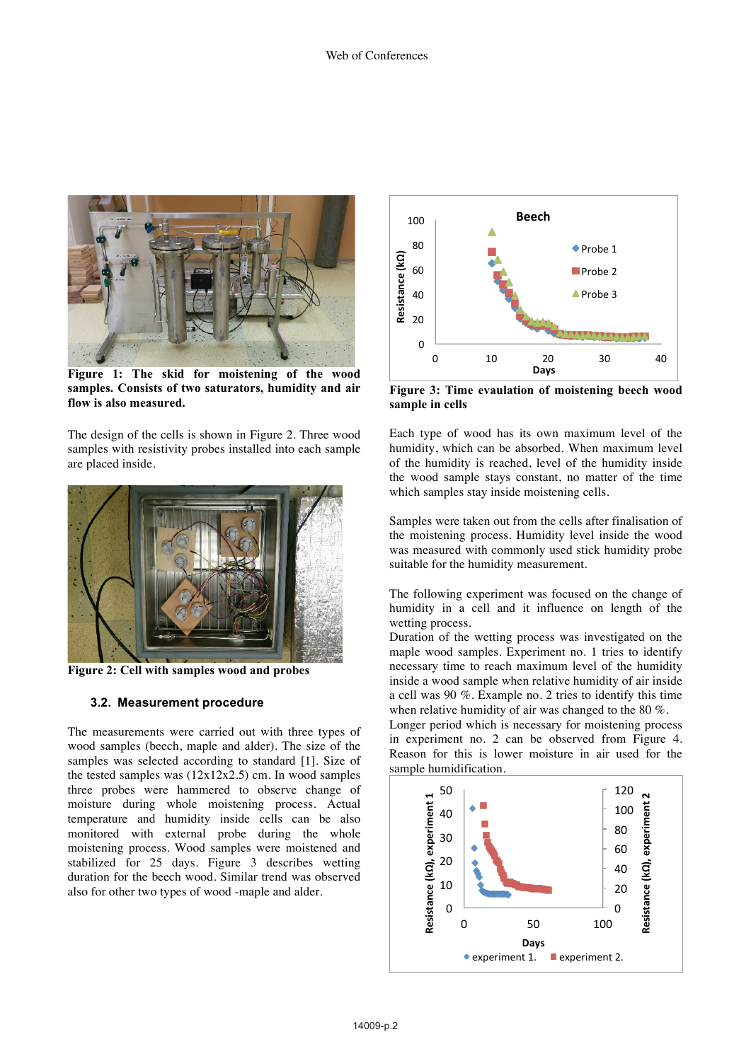

**Figure 1: The skid for moistening of the wood samples. Consists of two saturators, humidity and air flow is also measured.**

The design of the cells is shown in Figure 2. Three wood samples with resistivity probes installed into each sample are placed inside.



**Figure 2: Cell with samples wood and probes**

### **3.2. Measurement procedure**

The measurements were carried out with three types of wood samples (beech, maple and alder). The size of the samples was selected according to standard [1]. Size of the tested samples was  $(12x12x2.5)$  cm. In wood samples three probes were hammered to observe change of moisture during whole moistening process. Actual temperature and humidity inside cells can be also monitored with external probe during the whole moistening process. Wood samples were moistened and stabilized for 25 days. Figure 3 describes wetting duration for the beech wood. Similar trend was observed also for other two types of wood -maple and alder.



**Figure 3: Time evaulation of moistening beech wood sample in cells**

Each type of wood has its own maximum level of the humidity, which can be absorbed. When maximum level of the humidity is reached, level of the humidity inside the wood sample stays constant, no matter of the time which samples stay inside moistening cells.

Samples were taken out from the cells after finalisation of the moistening process. Humidity level inside the wood was measured with commonly used stick humidity probe suitable for the humidity measurement.

The following experiment was focused on the change of humidity in a cell and it influence on length of the wetting process.

Duration of the wetting process was investigated on the maple wood samples. Experiment no. 1 tries to identify necessary time to reach maximum level of the humidity inside a wood sample when relative humidity of air inside a cell was 90 %. Example no. 2 tries to identify this time when relative humidity of air was changed to the 80 %.

Longer period which is necessary for moistening process in experiment no. 2 can be observed from Figure 4. Reason for this is lower moisture in air used for the sample humidification.